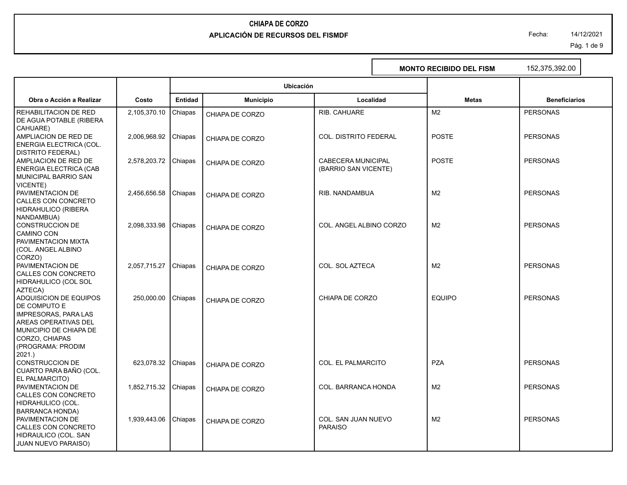Fecha: 14/12/2021

Pág. 1 de 9

|                                                                                                                                                                           |              |                |                  |                                                   | <b>MONTO RECIBIDO DEL FISM</b> | 152,375,392.00       |
|---------------------------------------------------------------------------------------------------------------------------------------------------------------------------|--------------|----------------|------------------|---------------------------------------------------|--------------------------------|----------------------|
|                                                                                                                                                                           |              |                | Ubicación        |                                                   |                                |                      |
| Obra o Acción a Realizar                                                                                                                                                  | Costo        | <b>Entidad</b> | <b>Municipio</b> | Localidad                                         | <b>Metas</b>                   | <b>Beneficiarios</b> |
| REHABILITACION DE RED<br>DE AGUA POTABLE (RIBERA                                                                                                                          | 2,105,370.10 | Chiapas        | CHIAPA DE CORZO  | RIB. CAHUARE                                      | M <sub>2</sub>                 | <b>PERSONAS</b>      |
| CAHUARE)<br>AMPLIACION DE RED DE<br>ENERGIA ELECTRICA (COL.                                                                                                               | 2,006,968.92 | Chiapas        | CHIAPA DE CORZO  | <b>COL. DISTRITO FEDERAL</b>                      | <b>POSTE</b>                   | <b>PERSONAS</b>      |
| <b>DISTRITO FEDERAL)</b><br>AMPLIACION DE RED DE<br><b>ENERGIA ELECTRICA (CAB</b><br><b>MUNICIPAL BARRIO SAN</b>                                                          | 2,578,203.72 | Chiapas        | CHIAPA DE CORZO  | <b>CABECERA MUNICIPAL</b><br>(BARRIO SAN VICENTE) | <b>POSTE</b>                   | <b>PERSONAS</b>      |
| VICENTE)<br>PAVIMENTACION DE<br>CALLES CON CONCRETO<br>HIDRAHULICO (RIBERA                                                                                                | 2,456,656.58 | Chiapas        | CHIAPA DE CORZO  | RIB. NANDAMBUA                                    | M <sub>2</sub>                 | <b>PERSONAS</b>      |
| NANDAMBUA)<br>CONSTRUCCION DE<br><b>CAMINO CON</b><br>PAVIMENTACION MIXTA                                                                                                 | 2,098,333.98 | Chiapas        | CHIAPA DE CORZO  | COL. ANGEL ALBINO CORZO                           | M <sub>2</sub>                 | <b>PERSONAS</b>      |
| (COL. ANGEL ALBINO<br>CORZO)<br>PAVIMENTACION DE<br>CALLES CON CONCRETO<br>HIDRAHULICO (COL SOL                                                                           | 2,057,715.27 | Chiapas        | CHIAPA DE CORZO  | COL. SOL AZTECA                                   | M <sub>2</sub>                 | <b>PERSONAS</b>      |
| AZTECA)<br>ADQUISICION DE EQUIPOS<br>DE COMPUTO E<br><b>IMPRESORAS, PARA LAS</b><br>AREAS OPERATIVAS DEL<br>MUNICIPIO DE CHIAPA DE<br>CORZO, CHIAPAS<br>(PROGRAMA: PRODIM | 250,000.00   | Chiapas        | CHIAPA DE CORZO  | CHIAPA DE CORZO                                   | <b>EQUIPO</b>                  | <b>PERSONAS</b>      |
| 2021.)<br><b>CONSTRUCCION DE</b><br>CUARTO PARA BAÑO (COL.                                                                                                                | 623,078.32   | Chiapas        | CHIAPA DE CORZO  | <b>COL. EL PALMARCITO</b>                         | <b>PZA</b>                     | <b>PERSONAS</b>      |
| EL PALMARCITO)<br>PAVIMENTACION DE<br>CALLES CON CONCRETO<br>HIDRAHULICO (COL.                                                                                            | 1,852,715.32 | Chiapas        | CHIAPA DE CORZO  | COL. BARRANCA HONDA                               | M <sub>2</sub>                 | <b>PERSONAS</b>      |
| <b>BARRANCA HONDA)</b><br>PAVIMENTACION DE<br>CALLES CON CONCRETO<br>HIDRAULICO (COL. SAN<br>JUAN NUEVO PARAISO)                                                          | 1,939,443.06 | Chiapas        | CHIAPA DE CORZO  | <b>COL. SAN JUAN NUEVO</b><br><b>PARAISO</b>      | M <sub>2</sub>                 | <b>PERSONAS</b>      |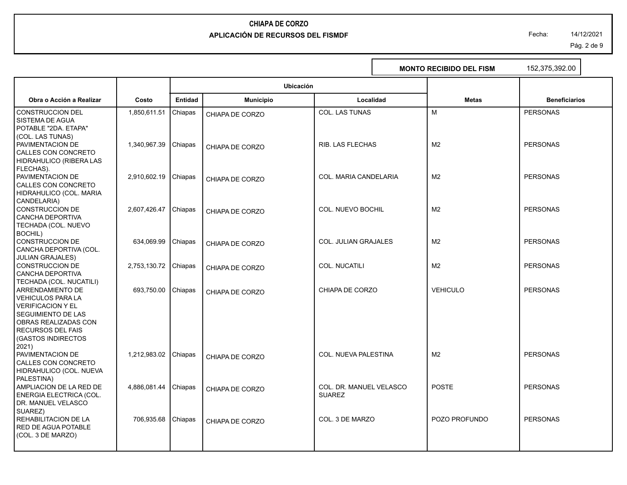Fecha: 14/12/2021

Pág. 2 de 9

٦

|                                                                                                                                                                                                                     |              |                |                  |                                          | <b>MONTO RECIBIDO DEL FISM</b> | 152,375,392.00       |
|---------------------------------------------------------------------------------------------------------------------------------------------------------------------------------------------------------------------|--------------|----------------|------------------|------------------------------------------|--------------------------------|----------------------|
|                                                                                                                                                                                                                     |              |                | <b>Ubicación</b> |                                          |                                |                      |
| Obra o Acción a Realizar                                                                                                                                                                                            | Costo        | <b>Entidad</b> | <b>Municipio</b> | Localidad                                | <b>Metas</b>                   | <b>Beneficiarios</b> |
| <b>CONSTRUCCION DEL</b><br><b>SISTEMA DE AGUA</b><br>POTABLE "2DA. ETAPA"                                                                                                                                           | 1,850,611.51 | Chiapas        | CHIAPA DE CORZO  | <b>COL. LAS TUNAS</b>                    | M                              | <b>PERSONAS</b>      |
| (COL. LAS TUNAS)<br>PAVIMENTACION DE<br>CALLES CON CONCRETO<br>HIDRAHULICO (RIBERA LAS                                                                                                                              | 1,340,967.39 | Chiapas        | CHIAPA DE CORZO  | <b>RIB. LAS FLECHAS</b>                  | M <sub>2</sub>                 | <b>PERSONAS</b>      |
| FLECHAS).<br>PAVIMENTACION DE<br>CALLES CON CONCRETO<br>HIDRAHULICO (COL. MARIA                                                                                                                                     | 2,910,602.19 | Chiapas        | CHIAPA DE CORZO  | COL. MARIA CANDELARIA                    | M <sub>2</sub>                 | <b>PERSONAS</b>      |
| CANDELARIA)<br><b>CONSTRUCCION DE</b><br>CANCHA DEPORTIVA<br>TECHADA (COL. NUEVO                                                                                                                                    | 2,607,426.47 | Chiapas        | CHIAPA DE CORZO  | <b>COL. NUEVO BOCHIL</b>                 | M <sub>2</sub>                 | <b>PERSONAS</b>      |
| BOCHIL)<br>CONSTRUCCION DE<br>CANCHA DEPORTIVA (COL.                                                                                                                                                                | 634,069.99   | Chiapas        | CHIAPA DE CORZO  | <b>COL. JULIAN GRAJALES</b>              | M <sub>2</sub>                 | <b>PERSONAS</b>      |
| <b>JULIAN GRAJALES)</b><br>CONSTRUCCION DE<br>CANCHA DEPORTIVA                                                                                                                                                      | 2,753,130.72 | Chiapas        | CHIAPA DE CORZO  | <b>COL. NUCATILI</b>                     | M <sub>2</sub>                 | <b>PERSONAS</b>      |
| TECHADA (COL. NUCATILI)<br><b>ARRENDAMIENTO DE</b><br><b>VEHICULOS PARA LA</b><br><b>VERIFICACION Y EL</b><br>SEGUIMIENTO DE LAS<br>OBRAS REALIZADAS CON<br><b>RECURSOS DEL FAIS</b><br>(GASTOS INDIRECTOS<br>2021) | 693,750.00   | Chiapas        | CHIAPA DE CORZO  | CHIAPA DE CORZO                          | <b>VEHICULO</b>                | <b>PERSONAS</b>      |
| PAVIMENTACION DE<br>CALLES CON CONCRETO<br>HIDRAHULICO (COL. NUEVA<br>PALESTINA)                                                                                                                                    | 1,212,983.02 | Chiapas        | CHIAPA DE CORZO  | COL. NUEVA PALESTINA                     | M <sub>2</sub>                 | <b>PERSONAS</b>      |
| AMPLIACION DE LA RED DE<br>ENERGIA ELECTRICA (COL.<br>DR. MANUEL VELASCO                                                                                                                                            | 4,886,081.44 | Chiapas        | CHIAPA DE CORZO  | COL. DR. MANUEL VELASCO<br><b>SUAREZ</b> | <b>POSTE</b>                   | <b>PERSONAS</b>      |
| SUAREZ)<br>REHABILITACION DE LA<br><b>RED DE AGUA POTABLE</b><br>(COL. 3 DE MARZO)                                                                                                                                  | 706,935.68   | Chiapas        | CHIAPA DE CORZO  | COL. 3 DE MARZO                          | POZO PROFUNDO                  | <b>PERSONAS</b>      |
|                                                                                                                                                                                                                     |              |                |                  |                                          |                                |                      |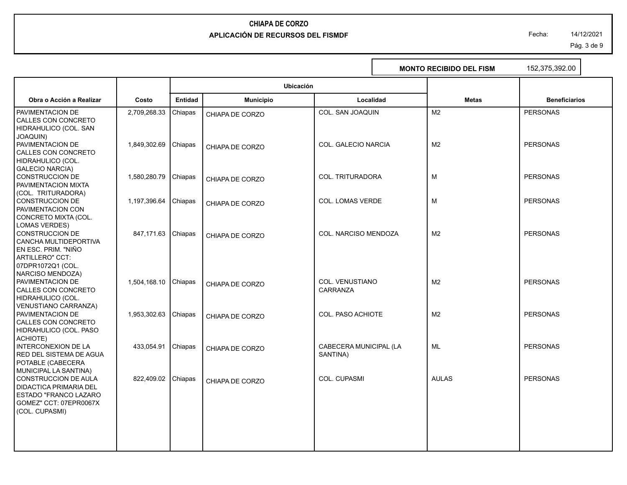Fecha: 14/12/2021

Pág. 3 de 9

|                                                                                                                                              |              |                |                  |                                    | <b>MONTO RECIBIDO DEL FISM</b> | 152,375,392.00       |
|----------------------------------------------------------------------------------------------------------------------------------------------|--------------|----------------|------------------|------------------------------------|--------------------------------|----------------------|
|                                                                                                                                              |              |                | <b>Ubicación</b> |                                    |                                |                      |
| Obra o Acción a Realizar                                                                                                                     | Costo        | <b>Entidad</b> | <b>Municipio</b> | Localidad                          | <b>Metas</b>                   | <b>Beneficiarios</b> |
| PAVIMENTACION DE<br>CALLES CON CONCRETO<br>HIDRAHULICO (COL. SAN                                                                             | 2,709,268.33 | Chiapas        | CHIAPA DE CORZO  | <b>COL. SAN JOAQUIN</b>            | M <sub>2</sub>                 | <b>PERSONAS</b>      |
| <b>JOAQUIN)</b><br>PAVIMENTACION DE<br>CALLES CON CONCRETO<br>HIDRAHULICO (COL.                                                              | 1,849,302.69 | Chiapas        | CHIAPA DE CORZO  | <b>COL. GALECIO NARCIA</b>         | M <sub>2</sub>                 | <b>PERSONAS</b>      |
| <b>GALECIO NARCIA)</b><br><b>CONSTRUCCION DE</b><br>PAVIMENTACION MIXTA                                                                      | 1,580,280.79 | Chiapas        | CHIAPA DE CORZO  | COL. TRITURADORA                   | M                              | <b>PERSONAS</b>      |
| (COL. TRITURADORA)<br><b>CONSTRUCCION DE</b><br>PAVIMENTACION CON<br>CONCRETO MIXTA (COL.                                                    | 1,197,396.64 | Chiapas        | CHIAPA DE CORZO  | <b>COL. LOMAS VERDE</b>            | М                              | <b>PERSONAS</b>      |
| <b>LOMAS VERDES)</b><br><b>CONSTRUCCION DE</b><br>CANCHA MULTIDEPORTIVA<br>EN ESC. PRIM. "NIÑO                                               | 847,171.63   | Chiapas        | CHIAPA DE CORZO  | <b>COL. NARCISO MENDOZA</b>        | M <sub>2</sub>                 | <b>PERSONAS</b>      |
| ARTILLERO" CCT:<br>07DPR1072Q1 (COL.<br><b>NARCISO MENDOZA)</b><br>PAVIMENTACION DE<br>CALLES CON CONCRETO<br>HIDRAHULICO (COL.              | 1,504,168.10 | Chiapas        | CHIAPA DE CORZO  | <b>COL. VENUSTIANO</b><br>CARRANZA | M <sub>2</sub>                 | <b>PERSONAS</b>      |
| <b>VENUSTIANO CARRANZA)</b><br>PAVIMENTACION DE<br>CALLES CON CONCRETO<br>HIDRAHULICO (COL. PASO                                             | 1,953,302.63 | Chiapas        | CHIAPA DE CORZO  | COL. PASO ACHIOTE                  | M <sub>2</sub>                 | <b>PERSONAS</b>      |
| ACHIOTE)<br><b>INTERCONEXION DE LA</b><br><b>RED DEL SISTEMA DE AGUA</b><br>POTABLE (CABECERA                                                | 433,054.91   | Chiapas        | CHIAPA DE CORZO  | CABECERA MUNICIPAL (LA<br>SANTINA) | ML                             | <b>PERSONAS</b>      |
| MUNICIPAL LA SANTINA)<br>CONSTRUCCION DE AULA<br>DIDACTICA PRIMARIA DEL<br>ESTADO "FRANCO LAZARO<br>GOMEZ" CCT: 07EPR0067X<br>(COL. CUPASMI) | 822,409.02   | Chiapas        | CHIAPA DE CORZO  | <b>COL. CUPASMI</b>                | <b>AULAS</b>                   | <b>PERSONAS</b>      |
|                                                                                                                                              |              |                |                  |                                    |                                |                      |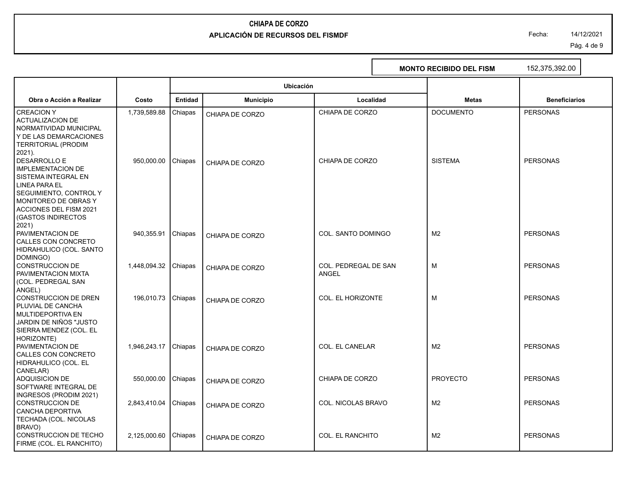# **CHIAPA DE CORZO**

#### **APLICACIÓN DE RECURSOS DEL FISMDF**

Fecha: 14/12/2021

Pág. 4 de 9

|                                                                                                                                                                                                                      |                      |                |                  |                               | <b>MONTO RECIBIDO DEL FISM</b> | 152,375,392.00       |
|----------------------------------------------------------------------------------------------------------------------------------------------------------------------------------------------------------------------|----------------------|----------------|------------------|-------------------------------|--------------------------------|----------------------|
|                                                                                                                                                                                                                      |                      |                | Ubicación        |                               |                                |                      |
| Obra o Acción a Realizar                                                                                                                                                                                             | Costo                | <b>Entidad</b> | <b>Municipio</b> | Localidad                     | <b>Metas</b>                   | <b>Beneficiarios</b> |
| <b>CREACIONY</b><br><b>ACTUALIZACION DE</b><br>NORMATIVIDAD MUNICIPAL<br>Y DE LAS DEMARCACIONES<br>TERRITORIAL (PRODIM<br>2021).                                                                                     | 1,739,589.88         | Chiapas        | CHIAPA DE CORZO  | CHIAPA DE CORZO               | <b>DOCUMENTO</b>               | <b>PERSONAS</b>      |
| <b>DESARROLLO E</b><br><b>IMPLEMENTACION DE</b><br>I SISTEMA INTEGRAL EN<br><b>LINEA PARA EL</b><br>  SEGUIMIENTO, CONTROL Y<br>MONITOREO DE OBRAS Y<br>ACCIONES DEL FISM 2021<br><b>(GASTOS INDIRECTOS</b><br>2021) | 950,000.00           | <b>Chiapas</b> | CHIAPA DE CORZO  | CHIAPA DE CORZO               | <b>SISTEMA</b>                 | <b>PERSONAS</b>      |
| <b>PAVIMENTACION DE</b><br>CALLES CON CONCRETO<br>HIDRAHULICO (COL. SANTO<br>DOMINGO)                                                                                                                                | 940,355.91           | Chiapas        | CHIAPA DE CORZO  | COL. SANTO DOMINGO            | M <sub>2</sub>                 | <b>PERSONAS</b>      |
| CONSTRUCCION DE<br><b>PAVIMENTACION MIXTA</b><br>(COL. PEDREGAL SAN<br>ANGEL)                                                                                                                                        | 1,448,094.32 Chiapas |                | CHIAPA DE CORZO  | COL. PEDREGAL DE SAN<br>ANGEL | M                              | <b>PERSONAS</b>      |
| CONSTRUCCION DE DREN<br>PLUVIAL DE CANCHA<br>I MULTIDEPORTIVA EN<br>  JARDIN DE NIÑOS "JUSTO<br>SIERRA MENDEZ (COL. EL<br>HORIZONTE)                                                                                 | 196,010.73 Chiapas   |                | CHIAPA DE CORZO  | COL. EL HORIZONTE             | M                              | <b>PERSONAS</b>      |
| <b>PAVIMENTACION DE</b><br><b>CALLES CON CONCRETO</b><br>HIDRAHULICO (COL. EL                                                                                                                                        | 1,946,243.17 Chiapas |                | CHIAPA DE CORZO  | <b>COL. EL CANELAR</b>        | M <sub>2</sub>                 | <b>PERSONAS</b>      |
| CANELAR)<br>ADQUISICION DE<br><b>SOFTWARE INTEGRAL DE</b><br>INGRESOS (PRODIM 2021)                                                                                                                                  | 550,000.00           | Chiapas        | CHIAPA DE CORZO  | CHIAPA DE CORZO               | <b>PROYECTO</b>                | <b>PERSONAS</b>      |
| CONSTRUCCION DE<br>CANCHA DEPORTIVA<br>TECHADA (COL. NICOLAS<br>BRAVO)                                                                                                                                               | 2,843,410.04         | Chiapas        | CHIAPA DE CORZO  | COL. NICOLAS BRAVO            | M <sub>2</sub>                 | <b>PERSONAS</b>      |
| CONSTRUCCION DE TECHO<br>FIRME (COL. EL RANCHITO)                                                                                                                                                                    | 2.125.000.60         | Chiapas        | CHIAPA DE CORZO  | <b>COL. EL RANCHITO</b>       | M <sub>2</sub>                 | <b>PERSONAS</b>      |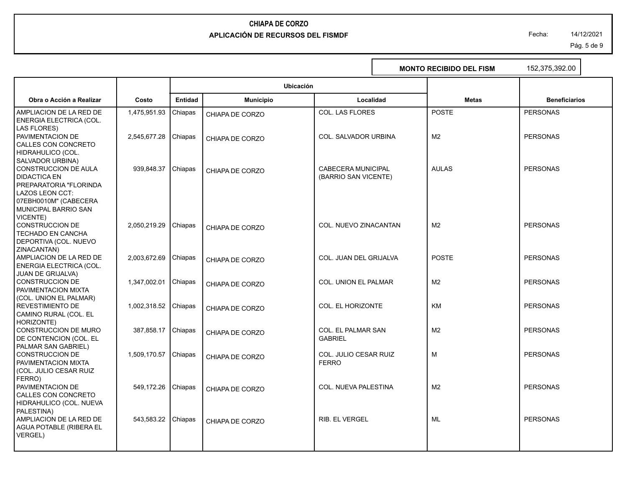Fecha: 14/12/2021

Pág. 5 de 9

|                                                                                                                                          |              |                |                  |                                            | <b>MONTO RECIBIDO DEL FISM</b> |                | 152,375,392.00       |  |
|------------------------------------------------------------------------------------------------------------------------------------------|--------------|----------------|------------------|--------------------------------------------|--------------------------------|----------------|----------------------|--|
|                                                                                                                                          |              |                | Ubicación        |                                            |                                |                |                      |  |
| Obra o Acción a Realizar                                                                                                                 | Costo        | <b>Entidad</b> | <b>Municipio</b> | Localidad                                  |                                | <b>Metas</b>   | <b>Beneficiarios</b> |  |
| AMPLIACION DE LA RED DE<br>ENERGIA ELECTRICA (COL.<br>LAS FLORES)                                                                        | 1,475,951.93 | Chiapas        | CHIAPA DE CORZO  | COL. LAS FLORES                            |                                | <b>POSTE</b>   | <b>PERSONAS</b>      |  |
| PAVIMENTACION DE<br>CALLES CON CONCRETO                                                                                                  | 2,545,677.28 | Chiapas        | CHIAPA DE CORZO  | COL. SALVADOR URBINA                       |                                | M <sub>2</sub> | <b>PERSONAS</b>      |  |
| HIDRAHULICO (COL.<br>SALVADOR URBINA)<br>CONSTRUCCION DE AULA<br><b>DIDACTICA EN</b><br>PREPARATORIA "FLORINDA<br><b>LAZOS LEON CCT:</b> | 939,848.37   | Chiapas        | CHIAPA DE CORZO  | CABECERA MUNICIPAL<br>(BARRIO SAN VICENTE) |                                | <b>AULAS</b>   | <b>PERSONAS</b>      |  |
| 07EBH0010M" (CABECERA<br>MUNICIPAL BARRIO SAN<br>VICENTE)<br><b>CONSTRUCCION DE</b><br>TECHADO EN CANCHA<br>DEPORTIVA (COL. NUEVO        | 2,050,219.29 | Chiapas        | CHIAPA DE CORZO  | COL. NUEVO ZINACANTAN                      |                                | M <sub>2</sub> | <b>PERSONAS</b>      |  |
| ZINACANTAN)<br>AMPLIACION DE LA RED DE<br>ENERGIA ELECTRICA (COL.                                                                        | 2,003,672.69 | Chiapas        | CHIAPA DE CORZO  | COL. JUAN DEL GRIJALVA                     |                                | <b>POSTE</b>   | <b>PERSONAS</b>      |  |
| <b>JUAN DE GRIJALVA)</b><br><b>CONSTRUCCION DE</b><br>PAVIMENTACION MIXTA                                                                | 1,347,002.01 | Chiapas        | CHIAPA DE CORZO  | COL. UNION EL PALMAR                       |                                | M <sub>2</sub> | <b>PERSONAS</b>      |  |
| (COL. UNION EL PALMAR)<br><b>REVESTIMIENTO DE</b><br>CAMINO RURAL (COL. EL                                                               | 1,002,318.52 | Chiapas        | CHIAPA DE CORZO  | COL. EL HORIZONTE                          |                                | KM             | <b>PERSONAS</b>      |  |
| HORIZONTE)<br><b>CONSTRUCCION DE MURO</b><br>DE CONTENCION (COL. EL                                                                      | 387,858.17   | Chiapas        | CHIAPA DE CORZO  | COL. EL PALMAR SAN<br><b>GABRIEL</b>       |                                | M <sub>2</sub> | <b>PERSONAS</b>      |  |
| PALMAR SAN GABRIEL)<br><b>CONSTRUCCION DE</b><br>PAVIMENTACION MIXTA<br>(COL. JULIO CESAR RUIZ                                           | 1,509,170.57 | Chiapas        | CHIAPA DE CORZO  | COL. JULIO CESAR RUIZ<br><b>FERRO</b>      |                                | M              | <b>PERSONAS</b>      |  |
| FERRO)<br>PAVIMENTACION DE<br>CALLES CON CONCRETO<br>HIDRAHULICO (COL. NUEVA                                                             | 549,172.26   | Chiapas        | CHIAPA DE CORZO  | COL. NUEVA PALESTINA                       |                                | M <sub>2</sub> | <b>PERSONAS</b>      |  |
| PALESTINA)<br>AMPLIACION DE LA RED DE<br>AGUA POTABLE (RIBERA EL<br>VERGEL)                                                              | 543,583.22   | Chiapas        | CHIAPA DE CORZO  | <b>RIB. EL VERGEL</b>                      |                                | ML             | <b>PERSONAS</b>      |  |
|                                                                                                                                          |              |                |                  |                                            |                                |                |                      |  |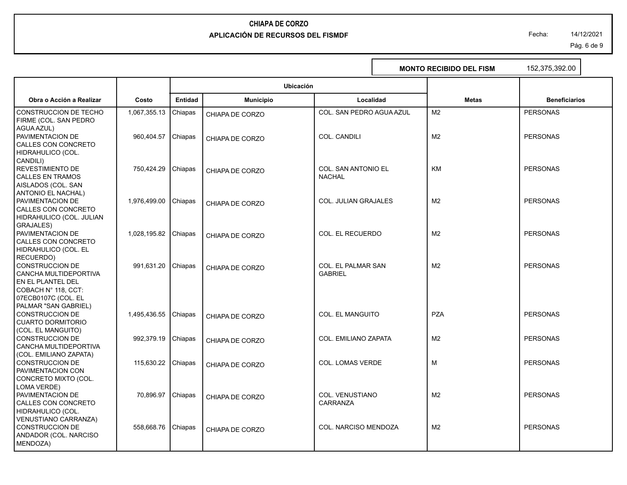Fecha: 14/12/2021

Pág. 6 de 9

|                                                                                                          |              |                |                  |                                             | <b>MONTO RECIBIDO DEL FISM</b> | 152,375,392.00       |
|----------------------------------------------------------------------------------------------------------|--------------|----------------|------------------|---------------------------------------------|--------------------------------|----------------------|
|                                                                                                          |              |                | Ubicación        |                                             |                                |                      |
| Obra o Acción a Realizar                                                                                 | Costo        | <b>Entidad</b> | <b>Municipio</b> | Localidad                                   | <b>Metas</b>                   | <b>Beneficiarios</b> |
| CONSTRUCCION DE TECHO<br>FIRME (COL. SAN PEDRO                                                           | 1,067,355.13 | Chiapas        | CHIAPA DE CORZO  | COL. SAN PEDRO AGUA AZUL                    | M <sub>2</sub>                 | <b>PERSONAS</b>      |
| AGUA AZUL)<br>PAVIMENTACION DE<br>CALLES CON CONCRETO<br>HIDRAHULICO (COL.                               | 960,404.57   | Chiapas        | CHIAPA DE CORZO  | COL. CANDILI                                | M <sub>2</sub>                 | <b>PERSONAS</b>      |
| CANDILI)<br><b>REVESTIMIENTO DE</b><br><b>CALLES EN TRAMOS</b>                                           | 750,424.29   | Chiapas        | CHIAPA DE CORZO  | <b>COL. SAN ANTONIO EL</b><br><b>NACHAL</b> | <b>KM</b>                      | <b>PERSONAS</b>      |
| AISLADOS (COL. SAN<br><b>ANTONIO EL NACHAL)</b><br>PAVIMENTACION DE<br>CALLES CON CONCRETO               | 1,976,499.00 | Chiapas        | CHIAPA DE CORZO  | <b>COL. JULIAN GRAJALES</b>                 | M <sub>2</sub>                 | <b>PERSONAS</b>      |
| HIDRAHULICO (COL. JULIAN<br>GRAJALES)<br>PAVIMENTACION DE<br>CALLES CON CONCRETO                         | 1,028,195.82 | Chiapas        | CHIAPA DE CORZO  | <b>COL. EL RECUERDO</b>                     | M <sub>2</sub>                 | <b>PERSONAS</b>      |
| HIDRAHULICO (COL. EL<br>RECUERDO)<br><b>CONSTRUCCION DE</b>                                              | 991,631.20   | Chiapas        | CHIAPA DE CORZO  | COL. EL PALMAR SAN                          | M <sub>2</sub>                 | <b>PERSONAS</b>      |
| CANCHA MULTIDEPORTIVA<br>EN EL PLANTEL DEL<br>COBACH N° 118, CCT:<br>07ECB0107C (COL. EL                 |              |                |                  | <b>GABRIEL</b>                              |                                |                      |
| PALMAR "SAN GABRIEL)<br><b>CONSTRUCCION DE</b><br><b>CUARTO DORMITORIO</b>                               | 1,495,436.55 | Chiapas        | CHIAPA DE CORZO  | COL. EL MANGUITO                            | <b>PZA</b>                     | <b>PERSONAS</b>      |
| (COL. EL MANGUITO)<br><b>CONSTRUCCION DE</b><br>CANCHA MULTIDEPORTIVA<br>(COL. EMILIANO ZAPATA)          | 992,379.19   | Chiapas        | CHIAPA DE CORZO  | <b>COL. EMILIANO ZAPATA</b>                 | M <sub>2</sub>                 | <b>PERSONAS</b>      |
| <b>CONSTRUCCION DE</b><br>PAVIMENTACION CON<br>CONCRETO MIXTO (COL.                                      | 115,630.22   | Chiapas        | CHIAPA DE CORZO  | <b>COL. LOMAS VERDE</b>                     | M                              | <b>PERSONAS</b>      |
| LOMA VERDE)<br>PAVIMENTACION DE<br>CALLES CON CONCRETO                                                   | 70,896.97    | Chiapas        | CHIAPA DE CORZO  | COL. VENUSTIANO<br>CARRANZA                 | M <sub>2</sub>                 | <b>PERSONAS</b>      |
| HIDRAHULICO (COL.<br><b>VENUSTIANO CARRANZA)</b><br>CONSTRUCCION DE<br>ANDADOR (COL. NARCISO<br>MENDOZA) | 558,668.76   | Chiapas        | CHIAPA DE CORZO  | COL. NARCISO MENDOZA                        | M <sub>2</sub>                 | <b>PERSONAS</b>      |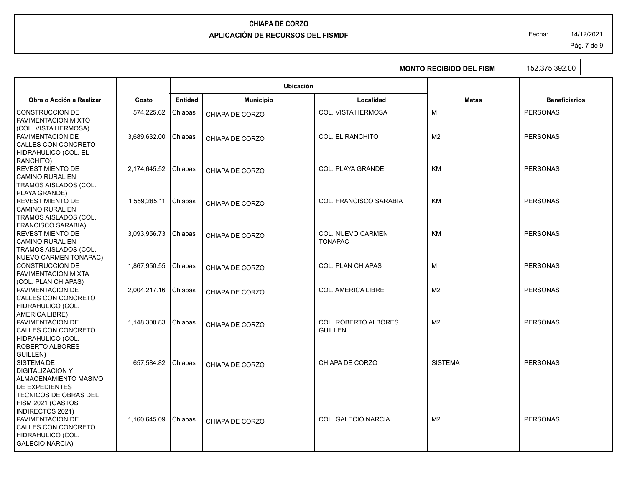Fecha: 14/12/2021

Pág. 7 de 9

|                                   |                      |                |                  |                             | <b>MONTO RECIBIDO DEL FISM</b> | 152,375,392.00       |
|-----------------------------------|----------------------|----------------|------------------|-----------------------------|--------------------------------|----------------------|
|                                   |                      |                | Ubicación        |                             |                                |                      |
| Obra o Acción a Realizar          | Costo                | <b>Entidad</b> | <b>Municipio</b> | Localidad                   | <b>Metas</b>                   | <b>Beneficiarios</b> |
| <b>CONSTRUCCION DE</b>            | 574,225.62           | Chiapas        | CHIAPA DE CORZO  | COL. VISTA HERMOSA          | M                              | <b>PERSONAS</b>      |
| PAVIMENTACION MIXTO               |                      |                |                  |                             |                                |                      |
| (COL. VISTA HERMOSA)              |                      |                |                  |                             |                                |                      |
| PAVIMENTACION DE                  | 3,689,632.00         | Chiapas        | CHIAPA DE CORZO  | <b>COL. EL RANCHITO</b>     | M <sub>2</sub>                 | <b>PERSONAS</b>      |
| CALLES CON CONCRETO               |                      |                |                  |                             |                                |                      |
| HIDRAHULICO (COL. EL<br>RANCHITO) |                      |                |                  |                             |                                |                      |
| <b>REVESTIMIENTO DE</b>           | 2,174,645.52 Chiapas |                |                  | COL. PLAYA GRANDE           | KM                             | <b>PERSONAS</b>      |
| <b>CAMINO RURAL EN</b>            |                      |                | CHIAPA DE CORZO  |                             |                                |                      |
| TRAMOS AISLADOS (COL.             |                      |                |                  |                             |                                |                      |
| PLAYA GRANDE)                     |                      |                |                  |                             |                                |                      |
| <b>REVESTIMIENTO DE</b>           | 1,559,285.11         | Chiapas        | CHIAPA DE CORZO  | COL. FRANCISCO SARABIA      | <b>KM</b>                      | <b>PERSONAS</b>      |
| <b>CAMINO RURAL EN</b>            |                      |                |                  |                             |                                |                      |
| TRAMOS AISLADOS (COL.             |                      |                |                  |                             |                                |                      |
| <b>FRANCISCO SARABIA)</b>         |                      |                |                  |                             |                                |                      |
| <b>REVESTIMIENTO DE</b>           | 3,093,956.73         | Chiapas        | CHIAPA DE CORZO  | <b>COL. NUEVO CARMEN</b>    | KM                             | <b>PERSONAS</b>      |
| <b>CAMINO RURAL EN</b>            |                      |                |                  | <b>TONAPAC</b>              |                                |                      |
| TRAMOS AISLADOS (COL.             |                      |                |                  |                             |                                |                      |
| NUEVO CARMEN TONAPAC)             |                      |                |                  |                             |                                |                      |
| <b>CONSTRUCCION DE</b>            | 1,867,950.55         | Chiapas        | CHIAPA DE CORZO  | <b>COL. PLAN CHIAPAS</b>    | M                              | <b>PERSONAS</b>      |
| PAVIMENTACION MIXTA               |                      |                |                  |                             |                                |                      |
| (COL. PLAN CHIAPAS)               |                      |                |                  |                             |                                |                      |
| PAVIMENTACION DE                  | 2,004,217.16         | Chiapas        | CHIAPA DE CORZO  | COL. AMERICA LIBRE          | M <sub>2</sub>                 | <b>PERSONAS</b>      |
| CALLES CON CONCRETO               |                      |                |                  |                             |                                |                      |
| HIDRAHULICO (COL.                 |                      |                |                  |                             |                                |                      |
| AMERICA LIBRE)                    |                      |                |                  |                             |                                |                      |
| PAVIMENTACION DE                  | 1,148,300.83         | Chiapas        | CHIAPA DE CORZO  | <b>COL. ROBERTO ALBORES</b> | M <sub>2</sub>                 | <b>PERSONAS</b>      |
| CALLES CON CONCRETO               |                      |                |                  | <b>GUILLEN</b>              |                                |                      |
| HIDRAHULICO (COL.                 |                      |                |                  |                             |                                |                      |
| ROBERTO ALBORES<br>GUILLEN)       |                      |                |                  |                             |                                |                      |
| SISTEMA DE                        | 657,584.82           | Chiapas        |                  | CHIAPA DE CORZO             | <b>SISTEMA</b>                 | <b>PERSONAS</b>      |
| <b>DIGITALIZACION Y</b>           |                      |                | CHIAPA DE CORZO  |                             |                                |                      |
| ALMACENAMIENTO MASIVO             |                      |                |                  |                             |                                |                      |
| DE EXPEDIENTES                    |                      |                |                  |                             |                                |                      |
| TECNICOS DE OBRAS DEL             |                      |                |                  |                             |                                |                      |
| FISM 2021 (GASTOS                 |                      |                |                  |                             |                                |                      |
| INDIRECTOS 2021)                  |                      |                |                  |                             |                                |                      |
| PAVIMENTACION DE                  | 1,160,645.09         | Chiapas        | CHIAPA DE CORZO  | COL. GALECIO NARCIA         | M <sub>2</sub>                 | <b>PERSONAS</b>      |
| CALLES CON CONCRETO               |                      |                |                  |                             |                                |                      |
| HIDRAHULICO (COL.                 |                      |                |                  |                             |                                |                      |
| <b>GALECIO NARCIA)</b>            |                      |                |                  |                             |                                |                      |
|                                   |                      |                |                  |                             |                                |                      |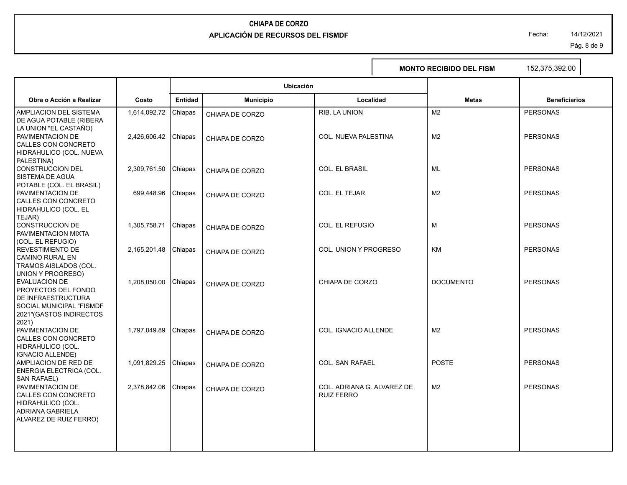Fecha: 14/12/2021

Pág. 8 de 9

I

|                                                                                                                                                                        |              |                |                  |                                                 | <b>MONTO RECIBIDO DEL FISM</b> | 152,375,392.00       |
|------------------------------------------------------------------------------------------------------------------------------------------------------------------------|--------------|----------------|------------------|-------------------------------------------------|--------------------------------|----------------------|
|                                                                                                                                                                        |              |                | <b>Ubicación</b> |                                                 |                                |                      |
| Obra o Acción a Realizar                                                                                                                                               | Costo        | <b>Entidad</b> | <b>Municipio</b> | Localidad                                       | <b>Metas</b>                   | <b>Beneficiarios</b> |
| AMPLIACION DEL SISTEMA<br>DE AGUA POTABLE (RIBERA                                                                                                                      | 1,614,092.72 | Chiapas        | CHIAPA DE CORZO  | RIB. LA UNION                                   | M <sub>2</sub>                 | <b>PERSONAS</b>      |
| LA UNION "EL CASTAÑO)<br>PAVIMENTACION DE<br>CALLES CON CONCRETO                                                                                                       | 2,426,606.42 | Chiapas        | CHIAPA DE CORZO  | COL. NUEVA PALESTINA                            | M <sub>2</sub>                 | <b>PERSONAS</b>      |
| HIDRAHULICO (COL. NUEVA<br>PALESTINA)<br><b>CONSTRUCCION DEL</b>                                                                                                       | 2,309,761.50 | Chiapas        |                  | <b>COL. EL BRASIL</b>                           | ML                             | <b>PERSONAS</b>      |
| SISTEMA DE AGUA<br>POTABLE (COL. EL BRASIL)                                                                                                                            |              |                | CHIAPA DE CORZO  |                                                 |                                |                      |
| PAVIMENTACION DE<br>CALLES CON CONCRETO<br>HIDRAHULICO (COL. EL                                                                                                        | 699,448.96   | Chiapas        | CHIAPA DE CORZO  | COL. EL TEJAR                                   | M <sub>2</sub>                 | <b>PERSONAS</b>      |
| TEJAR)<br><b>CONSTRUCCION DE</b><br>PAVIMENTACION MIXTA                                                                                                                | 1,305,758.71 | Chiapas        | CHIAPA DE CORZO  | COL. EL REFUGIO                                 | M                              | <b>PERSONAS</b>      |
| (COL. EL REFUGIO)<br><b>REVESTIMIENTO DE</b><br><b>CAMINO RURAL EN</b>                                                                                                 | 2,165,201.48 | Chiapas        | CHIAPA DE CORZO  | COL. UNION Y PROGRESO                           | <b>KM</b>                      | <b>PERSONAS</b>      |
| TRAMOS AISLADOS (COL.<br>UNION Y PROGRESO)<br><b>EVALUACION DE</b><br>PROYECTOS DEL FONDO<br>DE INFRAESTRUCTURA<br>SOCIAL MUNICIPAL "FISMDF<br>2021"(GASTOS INDIRECTOS | 1,208,050.00 | Chiapas        | CHIAPA DE CORZO  | CHIAPA DE CORZO                                 | <b>DOCUMENTO</b>               | <b>PERSONAS</b>      |
| 2021)<br>PAVIMENTACION DE<br>CALLES CON CONCRETO<br>HIDRAHULICO (COL.<br><b>IGNACIO ALLENDE)</b>                                                                       | 1,797,049.89 | Chiapas        | CHIAPA DE CORZO  | COL. IGNACIO ALLENDE                            | M <sub>2</sub>                 | <b>PERSONAS</b>      |
| AMPLIACION DE RED DE<br>ENERGIA ELECTRICA (COL.                                                                                                                        | 1,091,829.25 | Chiapas        | CHIAPA DE CORZO  | <b>COL. SAN RAFAEL</b>                          | <b>POSTE</b>                   | <b>PERSONAS</b>      |
| PAVIMENTACION DE<br>CALLES CON CONCRETO<br><b>ADRIANA GABRIELA</b>                                                                                                     | 2,378,842.06 | Chiapas        | CHIAPA DE CORZO  | COL. ADRIANA G. ALVAREZ DE<br><b>RUIZ FERRO</b> | M <sub>2</sub>                 | <b>PERSONAS</b>      |
| SAN RAFAEL)<br>HIDRAHULICO (COL.<br>ALVAREZ DE RUIZ FERRO)                                                                                                             |              |                |                  |                                                 |                                |                      |